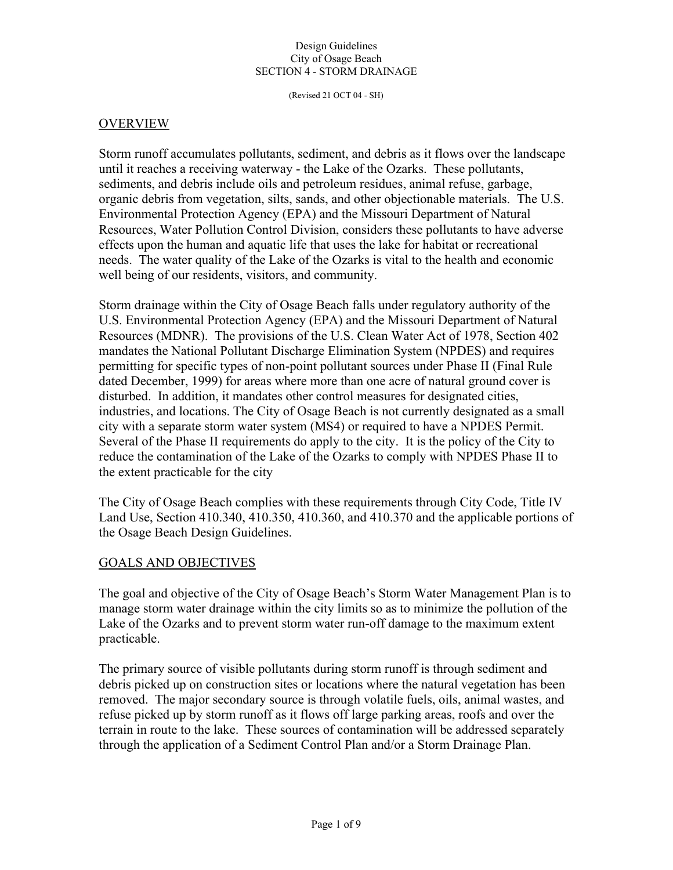(Revised 21 OCT 04 - SH)

### **OVERVIEW**

Storm runoff accumulates pollutants, sediment, and debris as it flows over the landscape until it reaches a receiving waterway - the Lake of the Ozarks. These pollutants, sediments, and debris include oils and petroleum residues, animal refuse, garbage, organic debris from vegetation, silts, sands, and other objectionable materials. The U.S. Environmental Protection Agency (EPA) and the Missouri Department of Natural Resources, Water Pollution Control Division, considers these pollutants to have adverse effects upon the human and aquatic life that uses the lake for habitat or recreational needs. The water quality of the Lake of the Ozarks is vital to the health and economic well being of our residents, visitors, and community.

Storm drainage within the City of Osage Beach falls under regulatory authority of the U.S. Environmental Protection Agency (EPA) and the Missouri Department of Natural Resources (MDNR). The provisions of the U.S. Clean Water Act of 1978, Section 402 mandates the National Pollutant Discharge Elimination System (NPDES) and requires permitting for specific types of non-point pollutant sources under Phase II (Final Rule dated December, 1999) for areas where more than one acre of natural ground cover is disturbed. In addition, it mandates other control measures for designated cities, industries, and locations. The City of Osage Beach is not currently designated as a small city with a separate storm water system (MS4) or required to have a NPDES Permit. Several of the Phase II requirements do apply to the city. It is the policy of the City to reduce the contamination of the Lake of the Ozarks to comply with NPDES Phase II to the extent practicable for the city

The City of Osage Beach complies with these requirements through City Code, Title IV Land Use, Section 410.340, 410.350, 410.360, and 410.370 and the applicable portions of the Osage Beach Design Guidelines.

### GOALS AND OBJECTIVES

The goal and objective of the City of Osage Beach's Storm Water Management Plan is to manage storm water drainage within the city limits so as to minimize the pollution of the Lake of the Ozarks and to prevent storm water run-off damage to the maximum extent practicable.

The primary source of visible pollutants during storm runoff is through sediment and debris picked up on construction sites or locations where the natural vegetation has been removed. The major secondary source is through volatile fuels, oils, animal wastes, and refuse picked up by storm runoff as it flows off large parking areas, roofs and over the terrain in route to the lake. These sources of contamination will be addressed separately through the application of a Sediment Control Plan and/or a Storm Drainage Plan.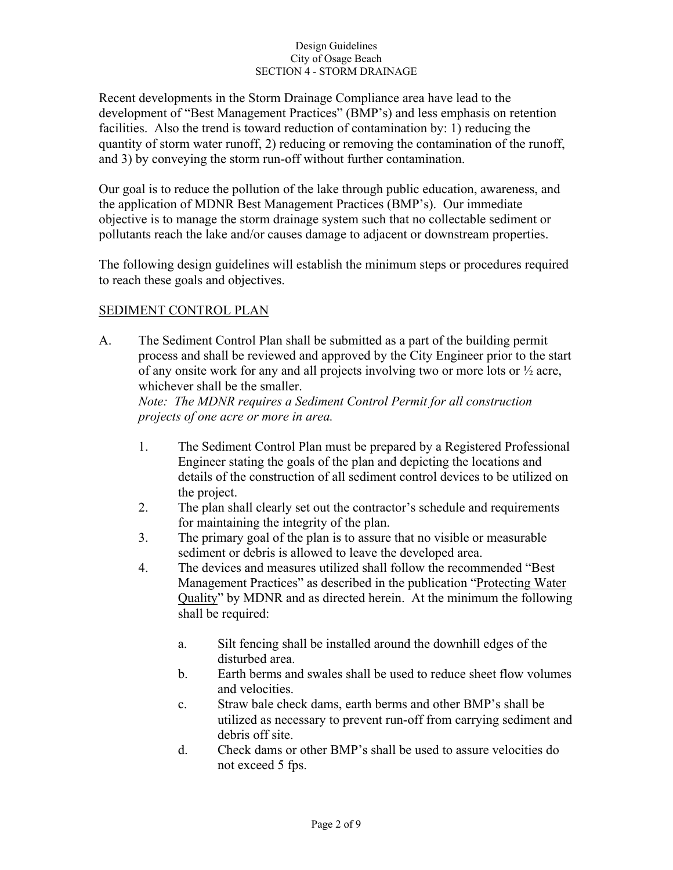Recent developments in the Storm Drainage Compliance area have lead to the development of "Best Management Practices" (BMP's) and less emphasis on retention facilities. Also the trend is toward reduction of contamination by: 1) reducing the quantity of storm water runoff, 2) reducing or removing the contamination of the runoff, and 3) by conveying the storm run-off without further contamination.

Our goal is to reduce the pollution of the lake through public education, awareness, and the application of MDNR Best Management Practices (BMP's). Our immediate objective is to manage the storm drainage system such that no collectable sediment or pollutants reach the lake and/or causes damage to adjacent or downstream properties.

The following design guidelines will establish the minimum steps or procedures required to reach these goals and objectives.

## SEDIMENT CONTROL PLAN

A. The Sediment Control Plan shall be submitted as a part of the building permit process and shall be reviewed and approved by the City Engineer prior to the start of any onsite work for any and all projects involving two or more lots or ½ acre, whichever shall be the smaller.

*Note: The MDNR requires a Sediment Control Permit for all construction projects of one acre or more in area.* 

- 1. The Sediment Control Plan must be prepared by a Registered Professional Engineer stating the goals of the plan and depicting the locations and details of the construction of all sediment control devices to be utilized on the project.
- 2. The plan shall clearly set out the contractor's schedule and requirements for maintaining the integrity of the plan.
- 3. The primary goal of the plan is to assure that no visible or measurable sediment or debris is allowed to leave the developed area.
- 4. The devices and measures utilized shall follow the recommended "Best Management Practices" as described in the publication "Protecting Water Quality" by MDNR and as directed herein. At the minimum the following shall be required:
	- a. Silt fencing shall be installed around the downhill edges of the disturbed area.
	- b. Earth berms and swales shall be used to reduce sheet flow volumes and velocities.
	- c. Straw bale check dams, earth berms and other BMP's shall be utilized as necessary to prevent run-off from carrying sediment and debris off site.
	- d. Check dams or other BMP's shall be used to assure velocities do not exceed 5 fps.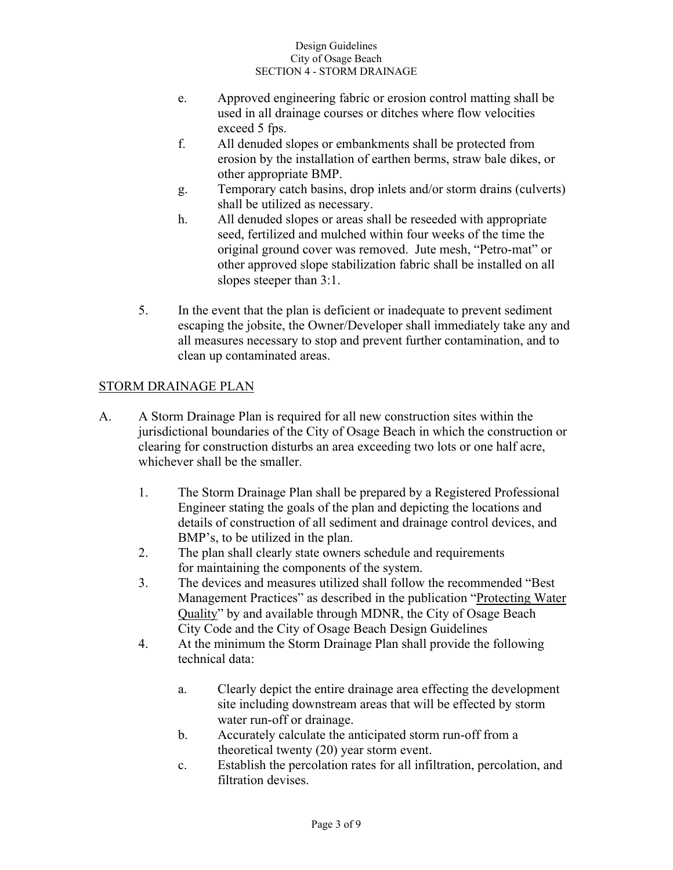- e. Approved engineering fabric or erosion control matting shall be used in all drainage courses or ditches where flow velocities exceed 5 fps.
- f. All denuded slopes or embankments shall be protected from erosion by the installation of earthen berms, straw bale dikes, or other appropriate BMP.
- g. Temporary catch basins, drop inlets and/or storm drains (culverts) shall be utilized as necessary.
- h. All denuded slopes or areas shall be reseeded with appropriate seed, fertilized and mulched within four weeks of the time the original ground cover was removed. Jute mesh, "Petro-mat" or other approved slope stabilization fabric shall be installed on all slopes steeper than 3:1.
- 5. In the event that the plan is deficient or inadequate to prevent sediment escaping the jobsite, the Owner/Developer shall immediately take any and all measures necessary to stop and prevent further contamination, and to clean up contaminated areas.

# STORM DRAINAGE PLAN

- A. A Storm Drainage Plan is required for all new construction sites within the jurisdictional boundaries of the City of Osage Beach in which the construction or clearing for construction disturbs an area exceeding two lots or one half acre, whichever shall be the smaller.
	- 1. The Storm Drainage Plan shall be prepared by a Registered Professional Engineer stating the goals of the plan and depicting the locations and details of construction of all sediment and drainage control devices, and BMP's, to be utilized in the plan.
	- 2. The plan shall clearly state owners schedule and requirements for maintaining the components of the system.
	- 3. The devices and measures utilized shall follow the recommended "Best Management Practices" as described in the publication "Protecting Water Quality" by and available through MDNR, the City of Osage Beach City Code and the City of Osage Beach Design Guidelines
	- 4. At the minimum the Storm Drainage Plan shall provide the following technical data:
		- a. Clearly depict the entire drainage area effecting the development site including downstream areas that will be effected by storm water run-off or drainage.
		- b. Accurately calculate the anticipated storm run-off from a theoretical twenty (20) year storm event.
		- c. Establish the percolation rates for all infiltration, percolation, and filtration devises.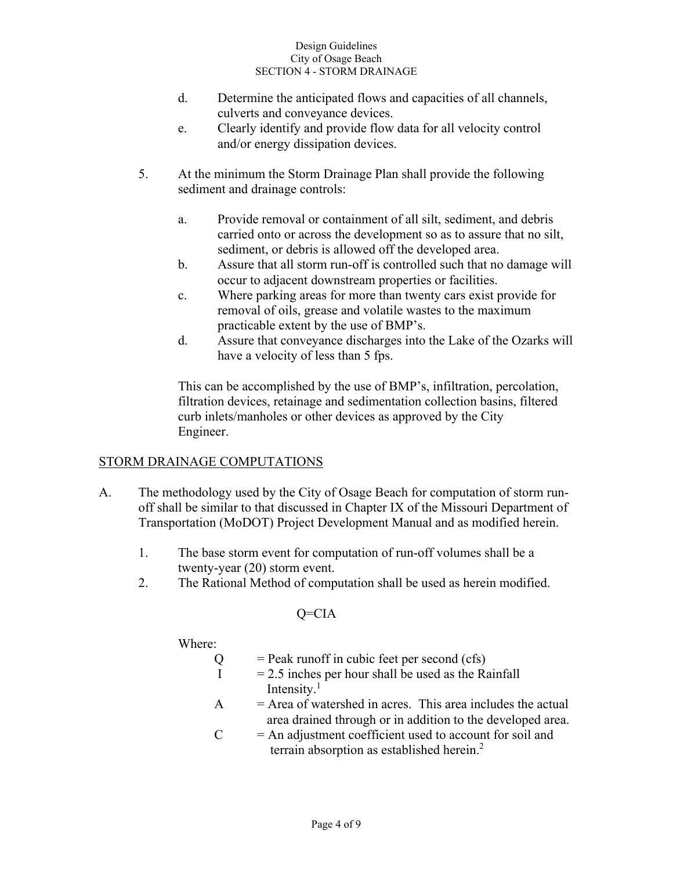- d. Determine the anticipated flows and capacities of all channels, culverts and conveyance devices.
- e. Clearly identify and provide flow data for all velocity control and/or energy dissipation devices.
- 5. At the minimum the Storm Drainage Plan shall provide the following sediment and drainage controls:
	- a. Provide removal or containment of all silt, sediment, and debris carried onto or across the development so as to assure that no silt, sediment, or debris is allowed off the developed area.
	- b. Assure that all storm run-off is controlled such that no damage will occur to adjacent downstream properties or facilities.
	- c. Where parking areas for more than twenty cars exist provide for removal of oils, grease and volatile wastes to the maximum practicable extent by the use of BMP's.
	- d. Assure that conveyance discharges into the Lake of the Ozarks will have a velocity of less than 5 fps.

 This can be accomplished by the use of BMP's, infiltration, percolation, filtration devices, retainage and sedimentation collection basins, filtered curb inlets/manholes or other devices as approved by the City Engineer.

## STORM DRAINAGE COMPUTATIONS

- A. The methodology used by the City of Osage Beach for computation of storm run off shall be similar to that discussed in Chapter IX of the Missouri Department of Transportation (MoDOT) Project Development Manual and as modified herein.
	- 1. The base storm event for computation of run-off volumes shall be a twenty-year (20) storm event.
	- 2. The Rational Method of computation shall be used as herein modified.

## Q=CIA

## Where:

 $Q =$  Peak runoff in cubic feet per second (cfs)

- $I = 2.5$  inches per hour shall be used as the Rainfall Intensity.<sup>1</sup>
	- $A = Area of watershed in acres. This area includes the actual$ area drained through or in addition to the developed area.
	- $C = An$  adjustment coefficient used to account for soil and terrain absorption as established herein.<sup>2</sup>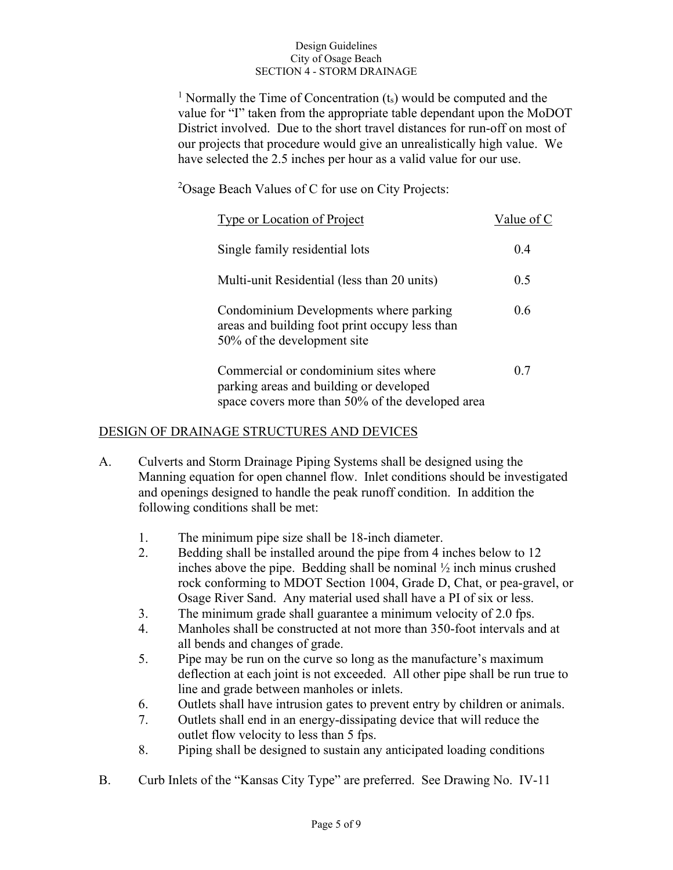<sup>1</sup> Normally the Time of Concentration  $(t<sub>s</sub>)$  would be computed and the value for "I" taken from the appropriate table dependant upon the MoDOT District involved. Due to the short travel distances for run-off on most of our projects that procedure would give an unrealistically high value. We have selected the 2.5 inches per hour as a valid value for our use.

 <sup>2</sup>  $^{2}$ Osage Beach Values of C for use on City Projects:

| Type or Location of Project                                                                                                          | Value of C |
|--------------------------------------------------------------------------------------------------------------------------------------|------------|
| Single family residential lots                                                                                                       | 0.4        |
| Multi-unit Residential (less than 20 units)                                                                                          | 0.5        |
| Condominium Developments where parking<br>areas and building foot print occupy less than<br>50% of the development site              | 0.6        |
| Commercial or condominium sites where<br>parking areas and building or developed<br>space covers more than 50% of the developed area | 0.7        |

### DESIGN OF DRAINAGE STRUCTURES AND DEVICES

- A. Culverts and Storm Drainage Piping Systems shall be designed using the Manning equation for open channel flow. Inlet conditions should be investigated and openings designed to handle the peak runoff condition. In addition the following conditions shall be met:
	- 1. The minimum pipe size shall be 18-inch diameter.
	- 2. Bedding shall be installed around the pipe from 4 inches below to 12 inches above the pipe. Bedding shall be nominal ½ inch minus crushed rock conforming to MDOT Section 1004, Grade D, Chat, or pea-gravel, or Osage River Sand. Any material used shall have a PI of six or less.
	- 3. The minimum grade shall guarantee a minimum velocity of 2.0 fps.
	- 4. Manholes shall be constructed at not more than 350-foot intervals and at all bends and changes of grade.
	- 5. Pipe may be run on the curve so long as the manufacture's maximum deflection at each joint is not exceeded. All other pipe shall be run true to line and grade between manholes or inlets.
	- 6. Outlets shall have intrusion gates to prevent entry by children or animals.
	- 7. Outlets shall end in an energy-dissipating device that will reduce the outlet flow velocity to less than 5 fps.
	- 8. Piping shall be designed to sustain any anticipated loading conditions
- B. Curb Inlets of the "Kansas City Type" are preferred. See Drawing No. IV-11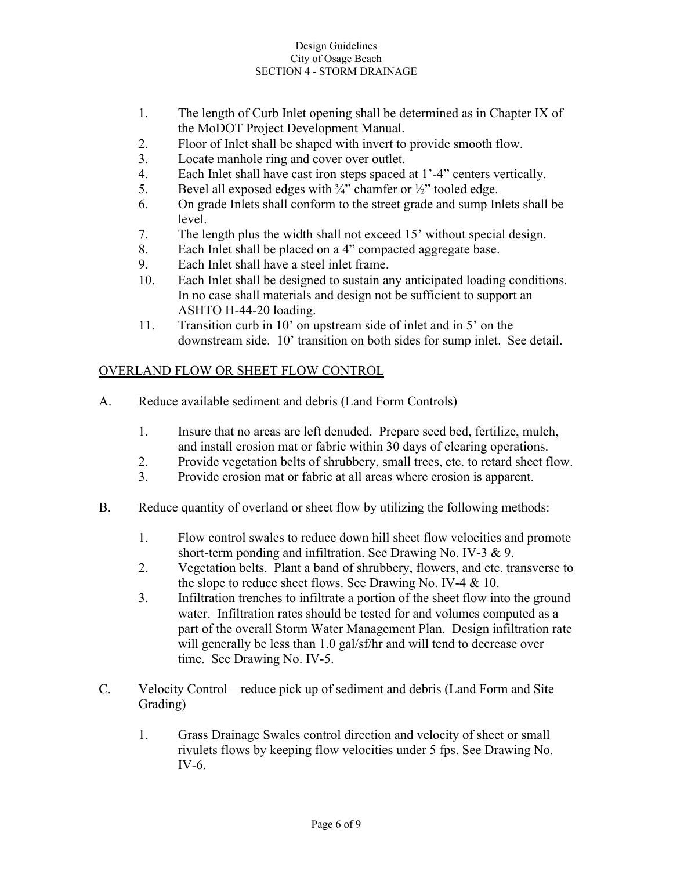- 1. The length of Curb Inlet opening shall be determined as in Chapter IX of the MoDOT Project Development Manual.
- 2. Floor of Inlet shall be shaped with invert to provide smooth flow.
- 3. Locate manhole ring and cover over outlet.
- 4. Each Inlet shall have cast iron steps spaced at 1'-4" centers vertically.
- 5. Bevel all exposed edges with  $\frac{3}{4}$ " chamfer or  $\frac{1}{2}$ " tooled edge.
- 6. On grade Inlets shall conform to the street grade and sump Inlets shall be level.
- 7. The length plus the width shall not exceed 15' without special design.
- 8. Each Inlet shall be placed on a 4" compacted aggregate base.
- 9. Each Inlet shall have a steel inlet frame.
- 10. Each Inlet shall be designed to sustain any anticipated loading conditions. In no case shall materials and design not be sufficient to support an ASHTO H-44-20 loading.
- 11. Transition curb in 10' on upstream side of inlet and in 5' on the downstream side. 10' transition on both sides for sump inlet. See detail.

# OVERLAND FLOW OR SHEET FLOW CONTROL

- A. Reduce available sediment and debris (Land Form Controls)
	- 1. Insure that no areas are left denuded. Prepare seed bed, fertilize, mulch, and install erosion mat or fabric within 30 days of clearing operations.
	- 2. Provide vegetation belts of shrubbery, small trees, etc. to retard sheet flow.
	- 3. Provide erosion mat or fabric at all areas where erosion is apparent.
- B. Reduce quantity of overland or sheet flow by utilizing the following methods:
	- 1. Flow control swales to reduce down hill sheet flow velocities and promote short-term ponding and infiltration. See Drawing No. IV-3 & 9.
	- 2. Vegetation belts. Plant a band of shrubbery, flowers, and etc. transverse to the slope to reduce sheet flows. See Drawing No. IV-4 & 10.
	- 3. Infiltration trenches to infiltrate a portion of the sheet flow into the ground water. Infiltration rates should be tested for and volumes computed as a part of the overall Storm Water Management Plan. Design infiltration rate will generally be less than 1.0 gal/sf/hr and will tend to decrease over time. See Drawing No. IV-5.
- C. Velocity Control reduce pick up of sediment and debris (Land Form and Site Grading)
	- 1. Grass Drainage Swales control direction and velocity of sheet or small rivulets flows by keeping flow velocities under 5 fps. See Drawing No. IV-6.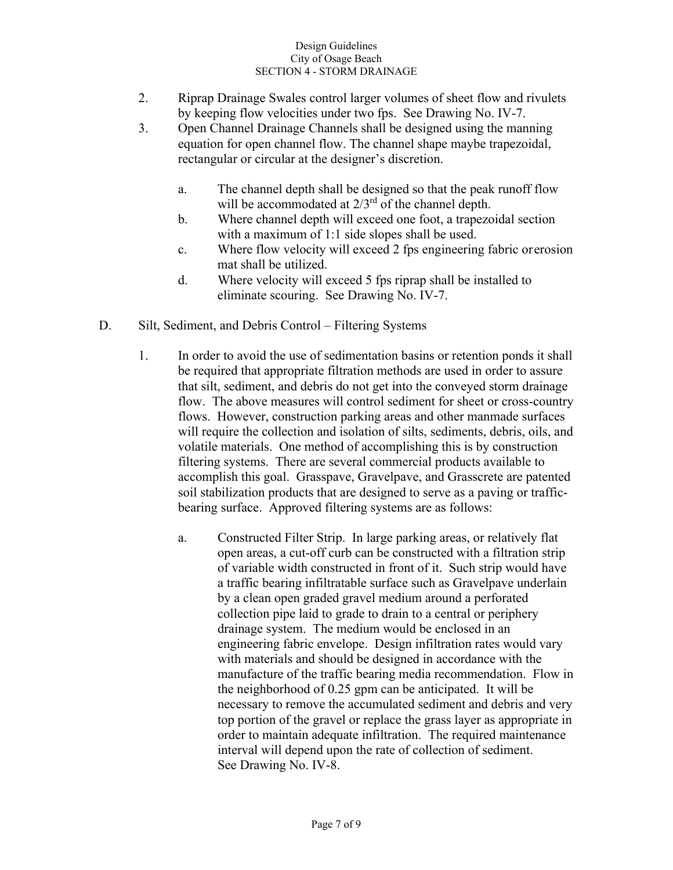- 2. Riprap Drainage Swales control larger volumes of sheet flow and rivulets by keeping flow velocities under two fps. See Drawing No. IV-7.
- 3. Open Channel Drainage Channels shall be designed using the manning equation for open channel flow. The channel shape maybe trapezoidal, rectangular or circular at the designer's discretion.
	- a. The channel depth shall be designed so that the peak runoff flow will be accommodated at  $2/3^{rd}$  of the channel depth.
	- b. Where channel depth will exceed one foot, a trapezoidal section with a maximum of 1:1 side slopes shall be used.
	- c. Where flow velocity will exceed 2 fps engineering fabric or erosion mat shall be utilized.
	- d. Where velocity will exceed 5 fps riprap shall be installed to eliminate scouring. See Drawing No. IV-7.
- D. Silt, Sediment, and Debris Control Filtering Systems
	- 1. In order to avoid the use of sedimentation basins or retention ponds it shall be required that appropriate filtration methods are used in order to assure that silt, sediment, and debris do not get into the conveyed storm drainage flow. The above measures will control sediment for sheet or cross-country flows. However, construction parking areas and other manmade surfaces will require the collection and isolation of silts, sediments, debris, oils, and volatile materials. One method of accomplishing this is by construction filtering systems. There are several commercial products available to accomplish this goal. Grasspave, Gravelpave, and Grasscrete are patented soil stabilization products that are designed to serve as a paving or traffic bearing surface. Approved filtering systems are as follows:
		- a. Constructed Filter Strip. In large parking areas, or relatively flat open areas, a cut-off curb can be constructed with a filtration strip of variable width constructed in front of it. Such strip would have a traffic bearing infiltratable surface such as Gravelpave underlain by a clean open graded gravel medium around a perforated collection pipe laid to grade to drain to a central or periphery drainage system. The medium would be enclosed in an engineering fabric envelope. Design infiltration rates would vary with materials and should be designed in accordance with the manufacture of the traffic bearing media recommendation. Flow in the neighborhood of 0.25 gpm can be anticipated. It will be necessary to remove the accumulated sediment and debris and very top portion of the gravel or replace the grass layer as appropriate in order to maintain adequate infiltration. The required maintenance interval will depend upon the rate of collection of sediment. See Drawing No. IV-8.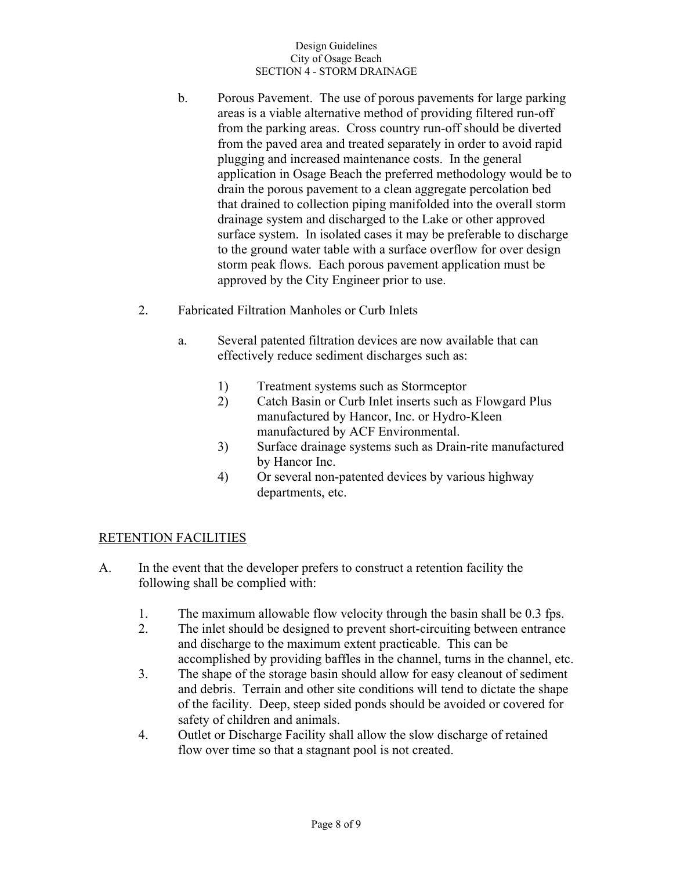- b. Porous Pavement. The use of porous pavements for large parking areas is a viable alternative method of providing filtered run-off from the parking areas. Cross country run-off should be diverted from the paved area and treated separately in order to avoid rapid plugging and increased maintenance costs. In the general application in Osage Beach the preferred methodology would be to drain the porous pavement to a clean aggregate percolation bed that drained to collection piping manifolded into the overall storm drainage system and discharged to the Lake or other approved surface system. In isolated cases it may be preferable to discharge to the ground water table with a surface overflow for over design storm peak flows. Each porous pavement application must be approved by the City Engineer prior to use.
- 2. Fabricated Filtration Manholes or Curb Inlets
	- a. Several patented filtration devices are now available that can effectively reduce sediment discharges such as:
		- 1) Treatment systems such as Stormceptor
		- 2) Catch Basin or Curb Inlet inserts such as Flowgard Plus manufactured by Hancor, Inc. or Hydro-Kleen manufactured by ACF Environmental.
		- 3) Surface drainage systems such as Drain-rite manufactured by Hancor Inc.
		- 4) Or several non-patented devices by various highway departments, etc.

### RETENTION FACILITIES

- A. In the event that the developer prefers to construct a retention facility the following shall be complied with:
	- 1. The maximum allowable flow velocity through the basin shall be 0.3 fps.
	- 2. The inlet should be designed to prevent short-circuiting between entrance and discharge to the maximum extent practicable. This can be accomplished by providing baffles in the channel, turns in the channel, etc.
	- 3. The shape of the storage basin should allow for easy cleanout of sediment and debris. Terrain and other site conditions will tend to dictate the shape of the facility. Deep, steep sided ponds should be avoided or covered for safety of children and animals.
	- 4. Outlet or Discharge Facility shall allow the slow discharge of retained flow over time so that a stagnant pool is not created.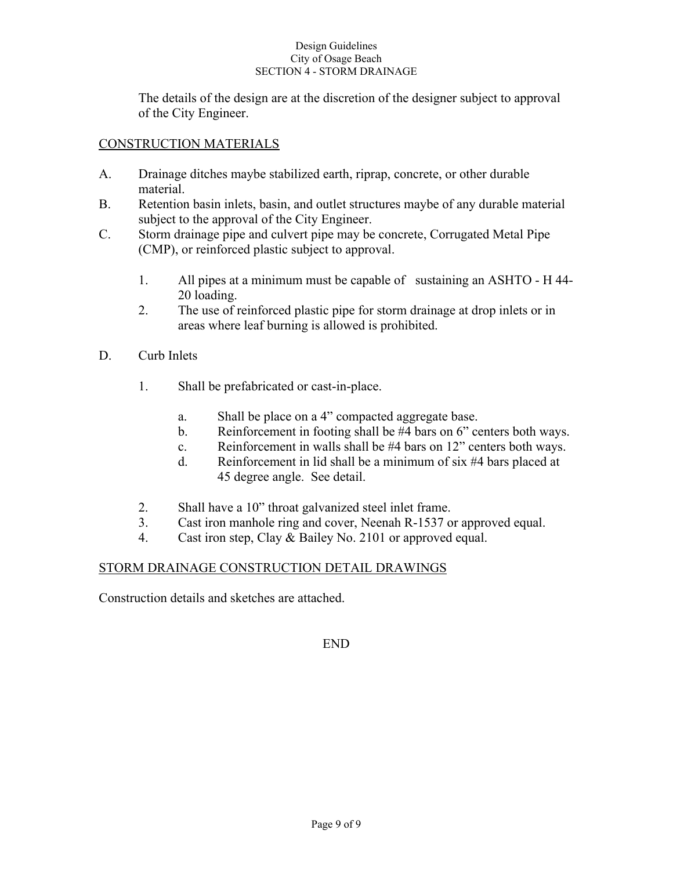The details of the design are at the discretion of the designer subject to approval of the City Engineer.

### CONSTRUCTION MATERIALS

- A. Drainage ditches maybe stabilized earth, riprap, concrete, or other durable material.
- B. Retention basin inlets, basin, and outlet structures maybe of any durable material subject to the approval of the City Engineer.
- C. Storm drainage pipe and culvert pipe may be concrete, Corrugated Metal Pipe (CMP), or reinforced plastic subject to approval.
	- 1. All pipes at a minimum must be capable of sustaining an ASHTO H 44- 20 loading.
	- 2. The use of reinforced plastic pipe for storm drainage at drop inlets or in areas where leaf burning is allowed is prohibited.
- D. Curb Inlets
	- 1. Shall be prefabricated or cast-in-place.
		- a. Shall be place on a 4" compacted aggregate base.
		- b. Reinforcement in footing shall be #4 bars on 6" centers both ways.
		- c. Reinforcement in walls shall be #4 bars on 12" centers both ways.
		- d. Reinforcement in lid shall be a minimum of six #4 bars placed at 45 degree angle. See detail.
	- 2. Shall have a 10" throat galvanized steel inlet frame.
	- 3. Cast iron manhole ring and cover, Neenah R-1537 or approved equal.
	- 4. Cast iron step, Clay & Bailey No. 2101 or approved equal.

### STORM DRAINAGE CONSTRUCTION DETAIL DRAWINGS

Construction details and sketches are attached.

END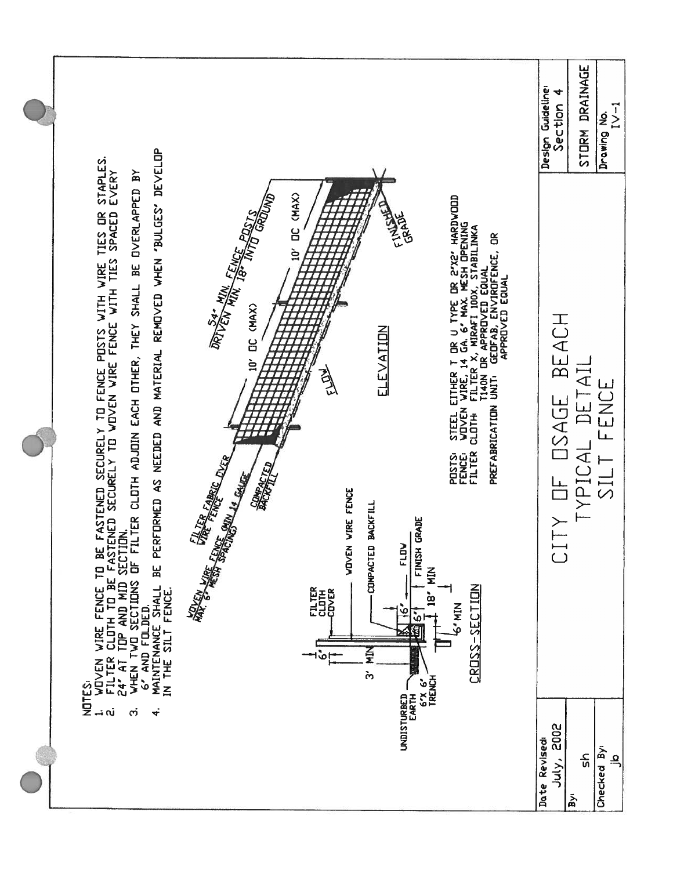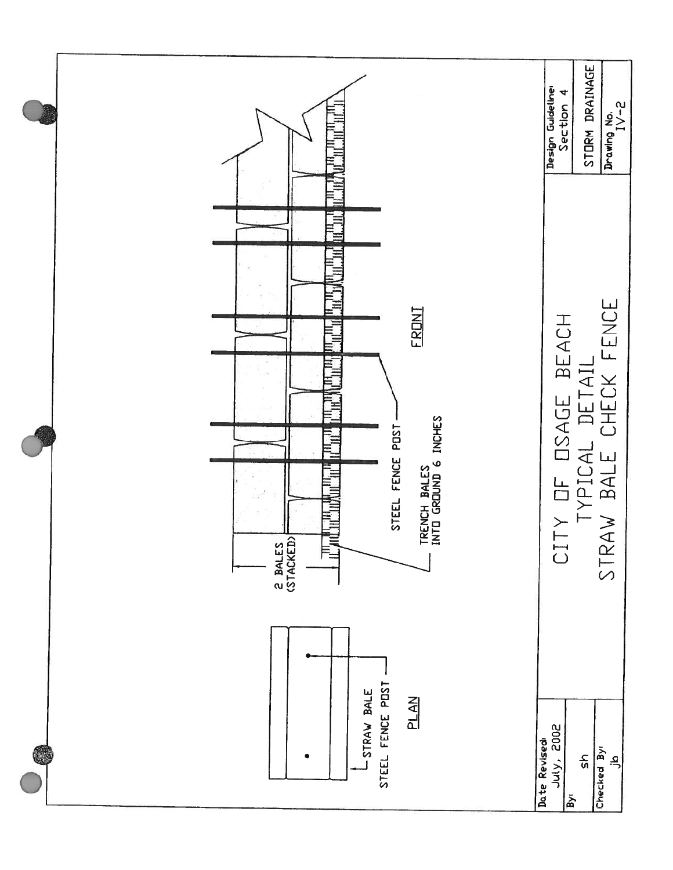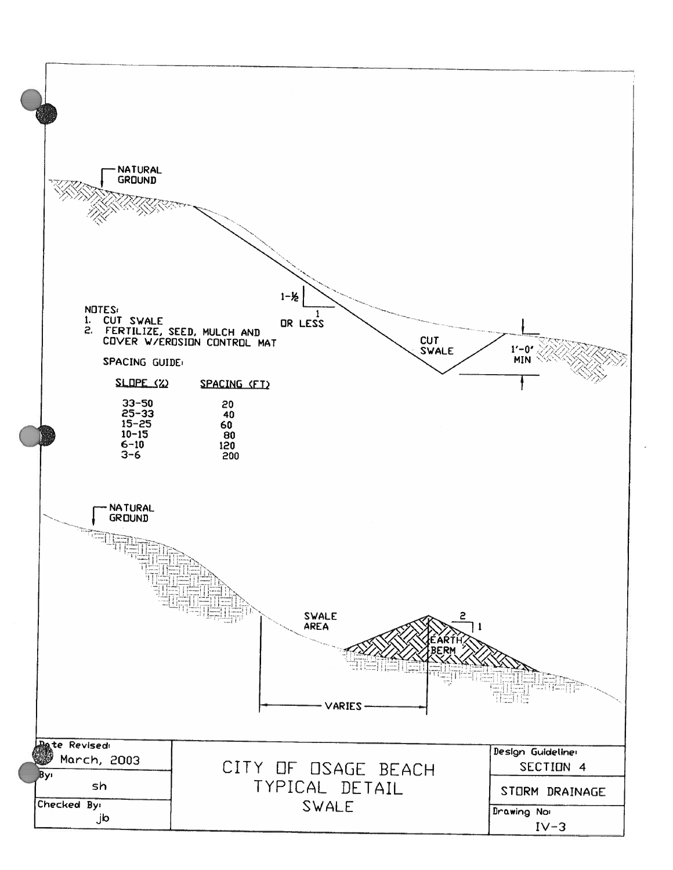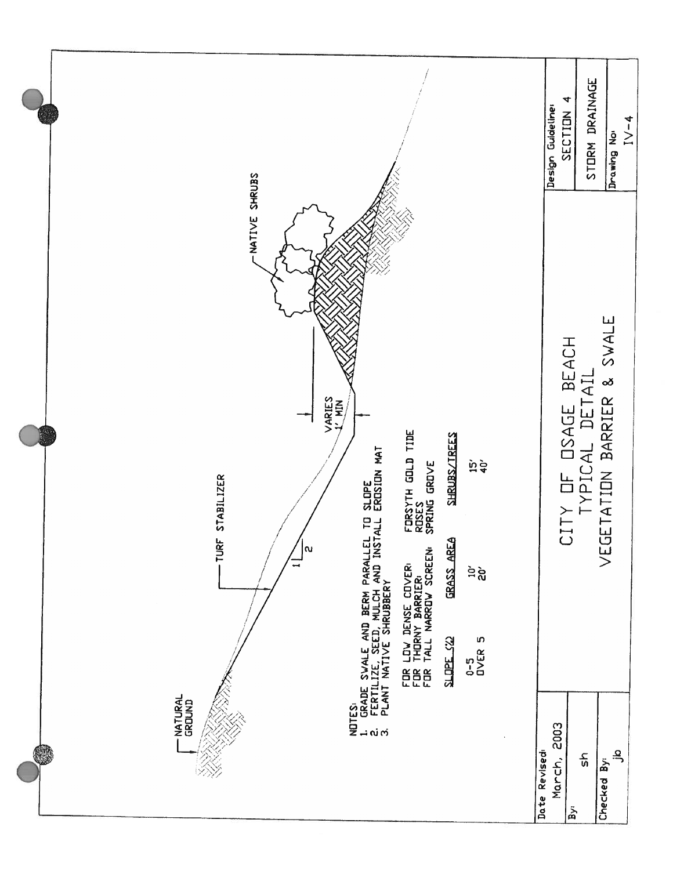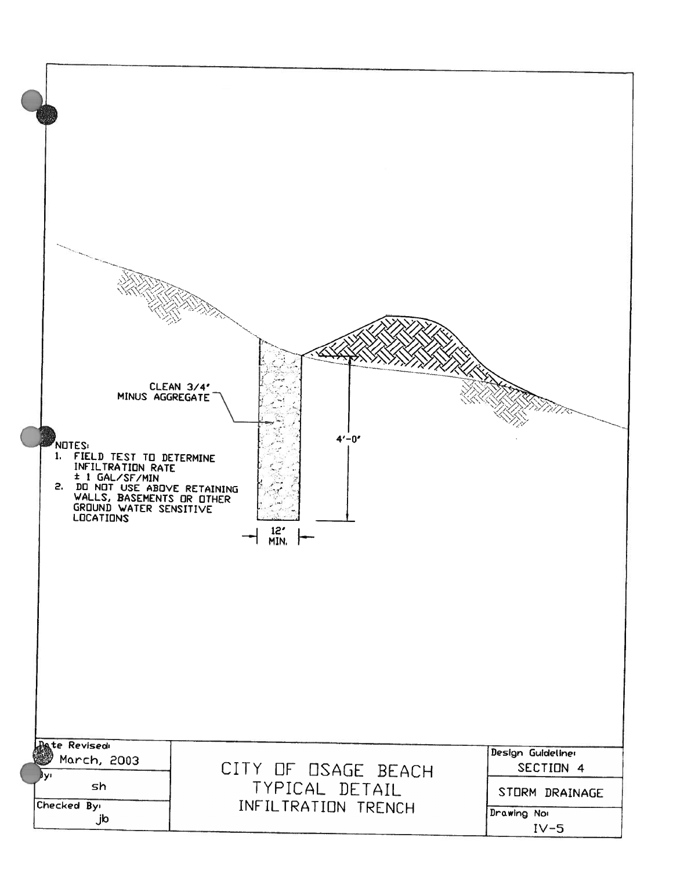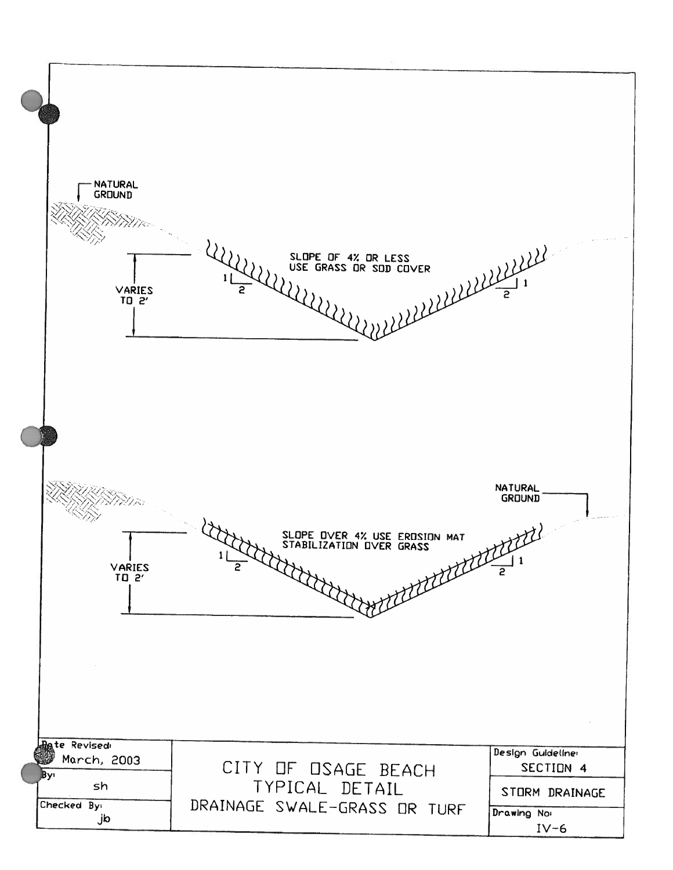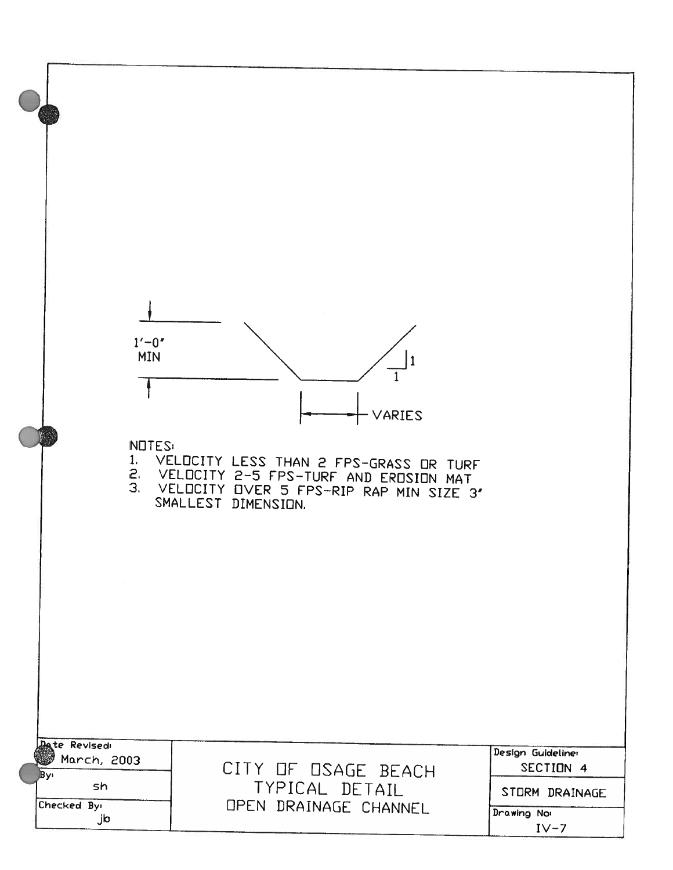| $1' - 0'$<br><b>MIN</b><br><b>NOTES:</b>                              | VARIES<br>1. VELOCITY LESS THAN 2 FPS-GRASS OR TURF<br>2. VELOCITY 2-5 FPS-TURF AND EROSION MAT<br>3. VELOCITY OVER 5 FPS-RIP RAP MIN SIZE 3'<br>SMALLEST DIMENSION. |                                                                                  |
|-----------------------------------------------------------------------|----------------------------------------------------------------------------------------------------------------------------------------------------------------------|----------------------------------------------------------------------------------|
| <b>Pate Revisedi</b><br>March, 2003<br>By١<br>sh<br>Checked By:<br>jb | CITY OF OSAGE BEACH<br>TYPICAL DETAIL<br>OPEN DRAINAGE CHANNEL                                                                                                       | Design Guideliner<br>SECTION 4<br>STORM DRAINAGE<br><b>Drawing No:</b><br>$IV-7$ |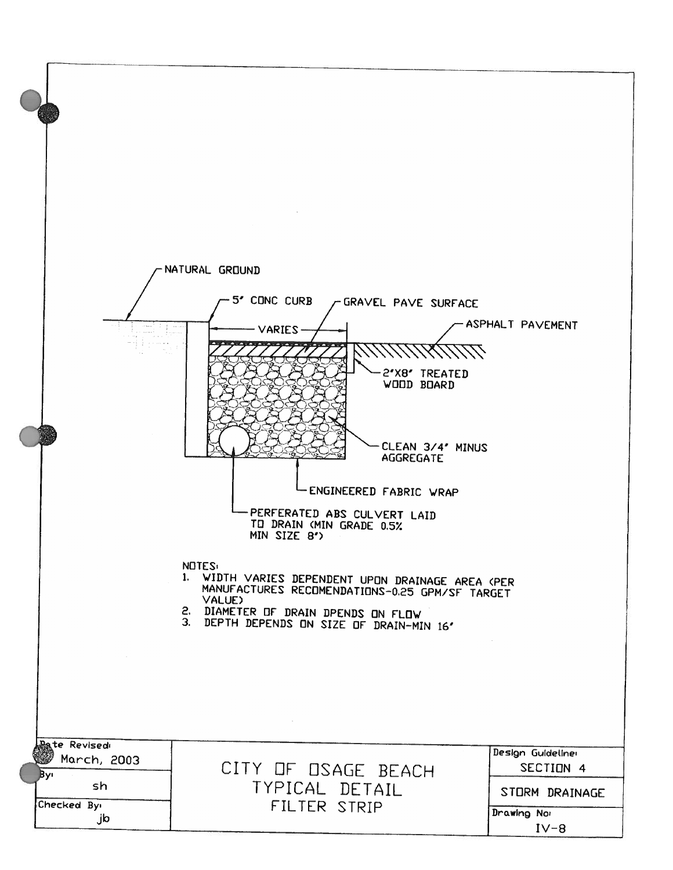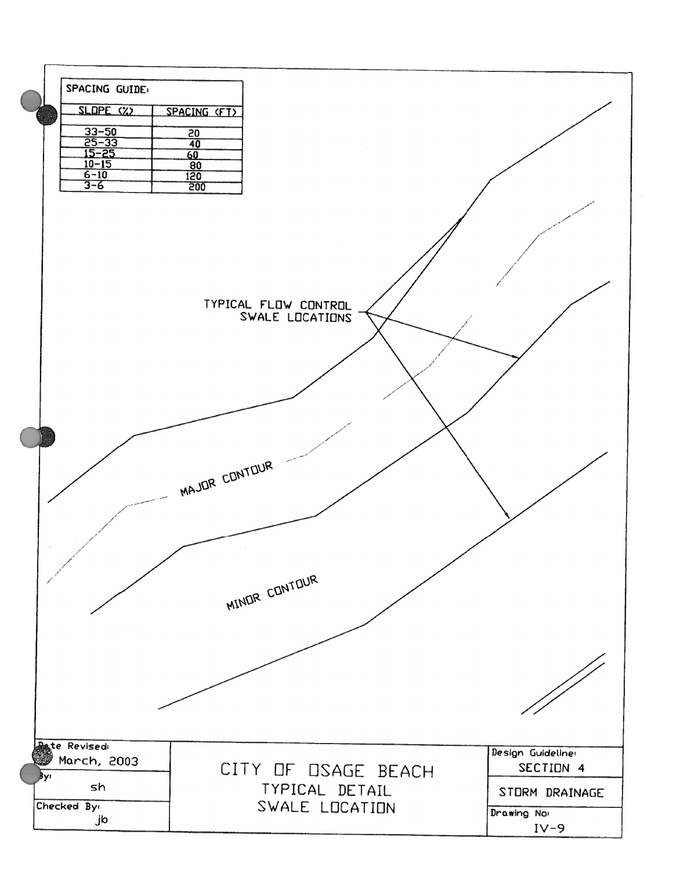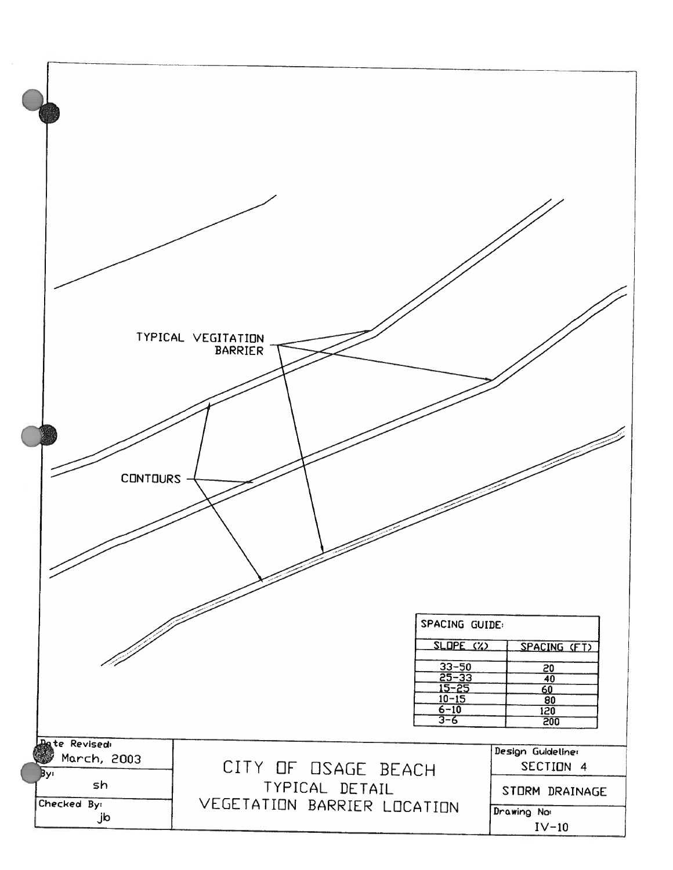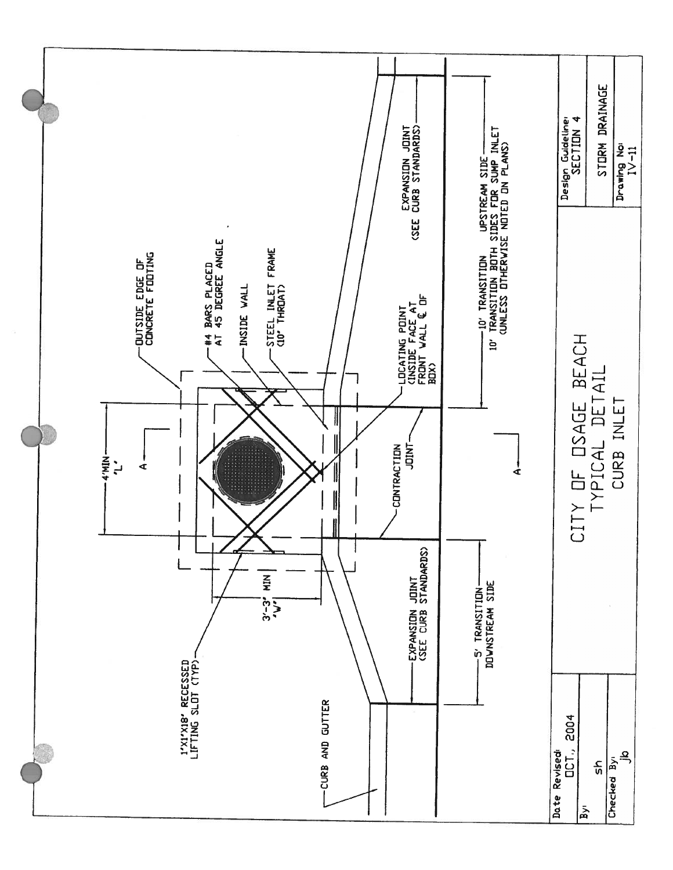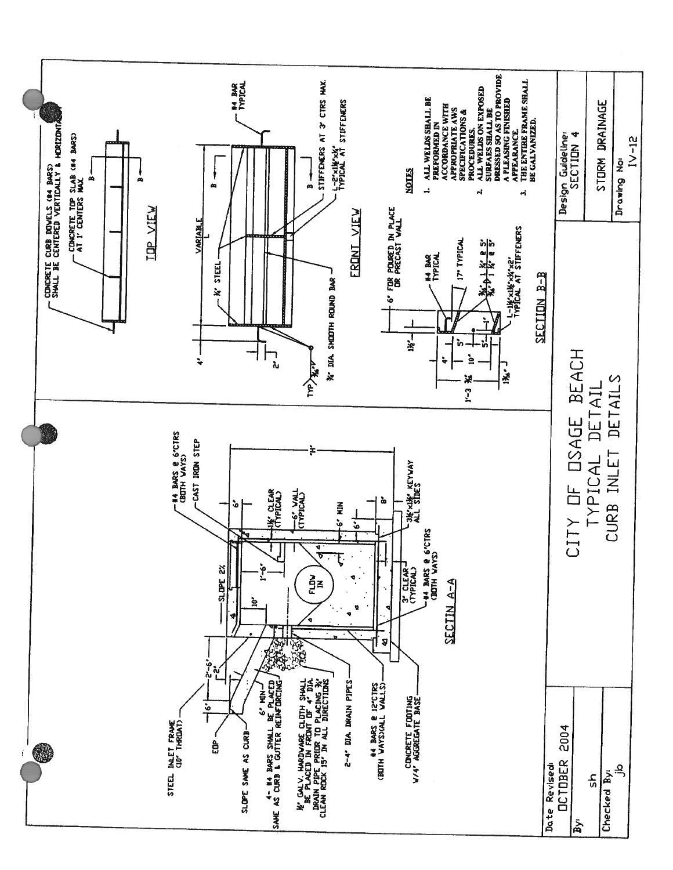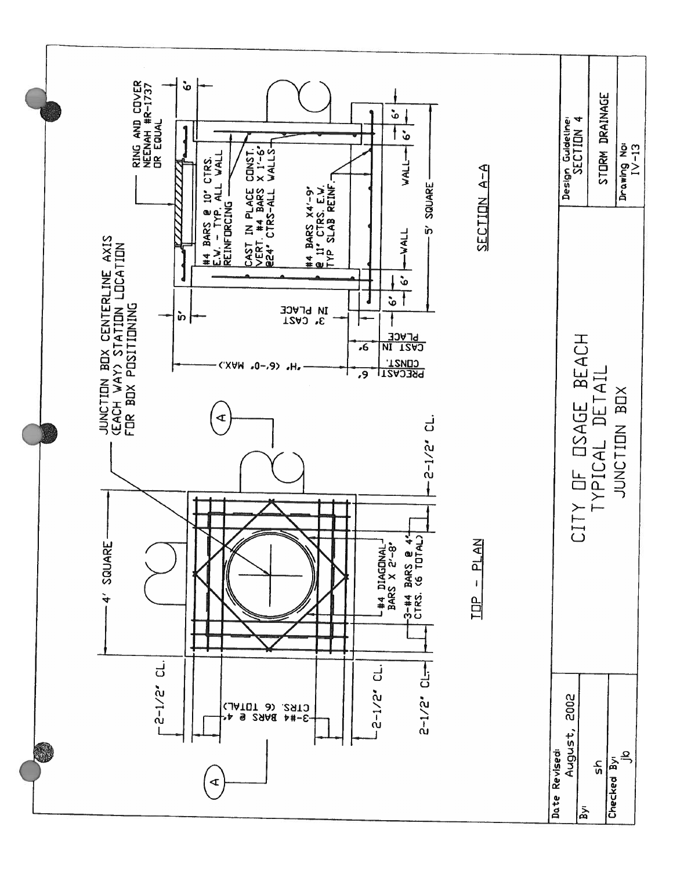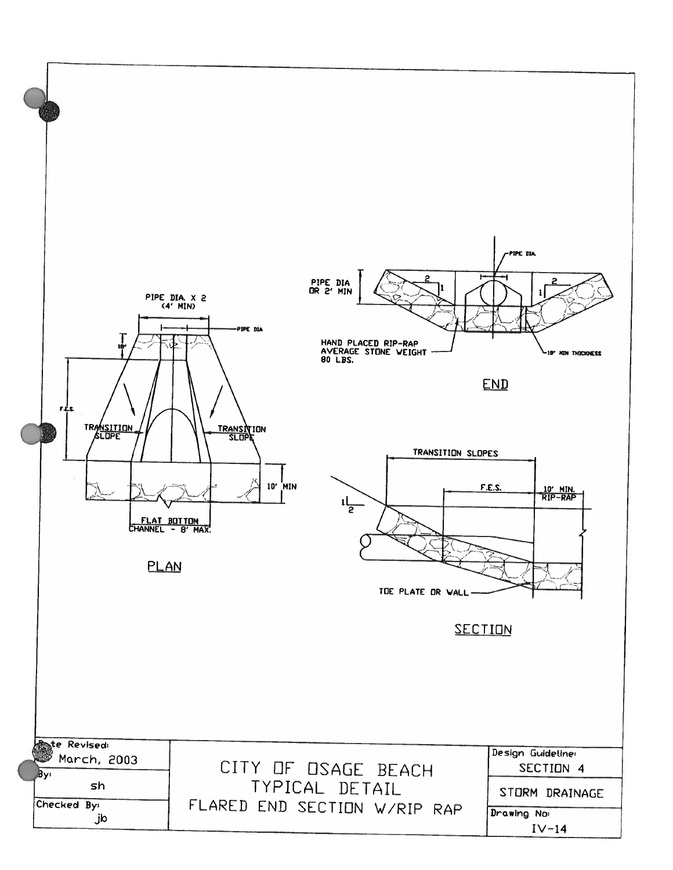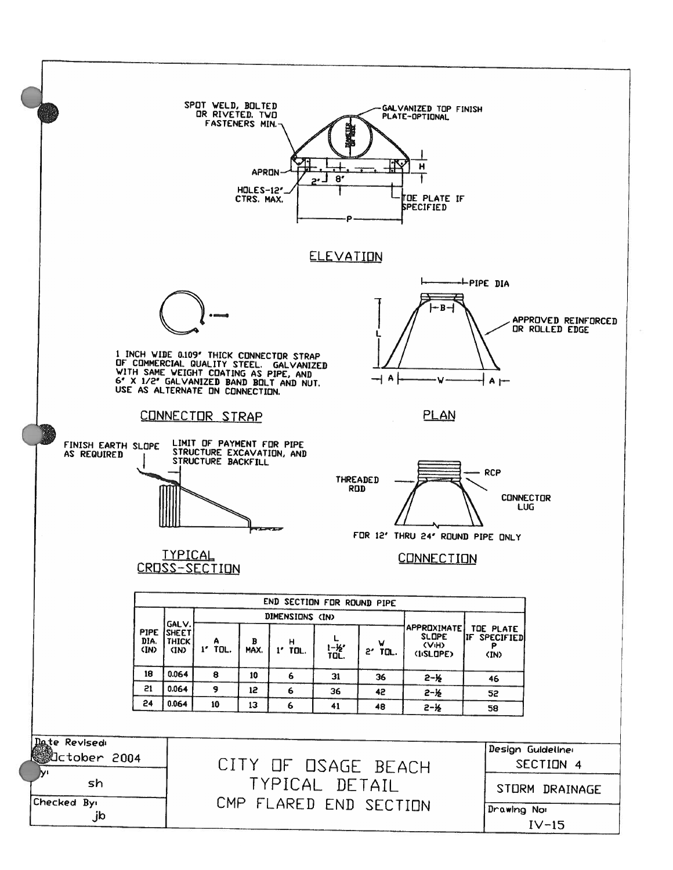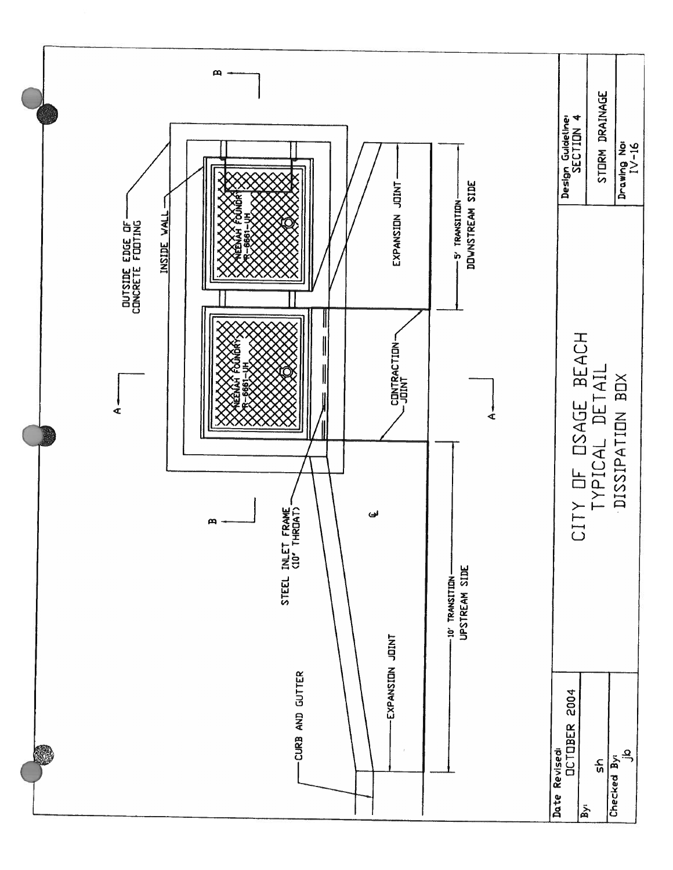